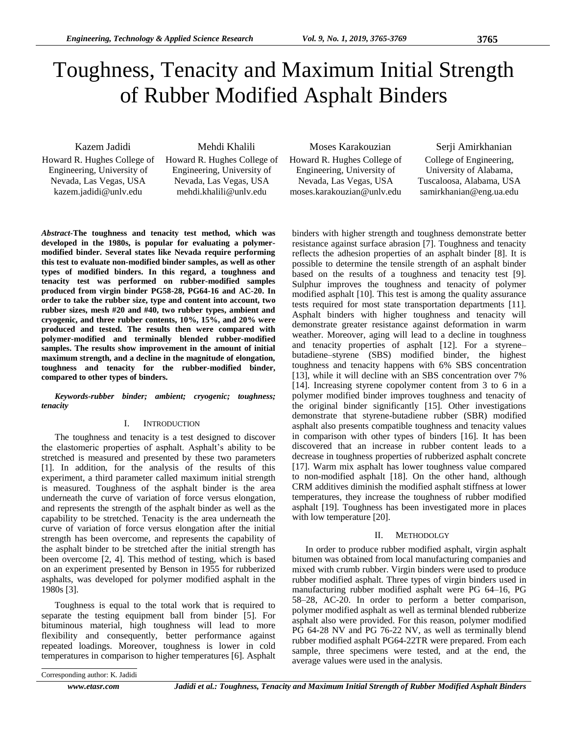# Toughness, Tenacity and Maximum Initial Strength of Rubber Modified Asphalt Binders

Kazem Jadidi Howard R. Hughes College of Engineering, University of Nevada, Las Vegas, USA kazem.jadidi@unlv.edu

Mehdi Khalili Howard R. Hughes College of Engineering, University of Nevada, Las Vegas, USA mehdi.khalili@unlv.edu

Moses Karakouzian Howard R. Hughes College of Engineering, University of Nevada, Las Vegas, USA moses.karakouzian@unlv.edu

Serji Amirkhanian College of Engineering, University of Alabama, Tuscaloosa, Alabama, USA samirkhanian@eng.ua.edu

*Abstract***-The toughness and tenacity test method, which was developed in the 1980s, is popular for evaluating a polymermodified binder. Several states like Nevada require performing this test to evaluate non-modified binder samples, as well as other types of modified binders. In this regard, a toughness and tenacity test was performed on rubber-modified samples produced from virgin binder PG58-28, PG64-16 and AC-20. In order to take the rubber size, type and content into account, two rubber sizes, mesh #20 and #40, two rubber types, ambient and cryogenic, and three rubber contents, 10%, 15%, and 20% were produced and tested. The results then were compared with polymer-modified and terminally blended rubber-modified samples. The results show improvement in the amount of initial maximum strength, and a decline in the magnitude of elongation, toughness and tenacity for the rubber-modified binder, compared to other types of binders.**

*Keywords-rubber binder; ambient; cryogenic; toughness; tenacity*

#### I. INTRODUCTION

The toughness and tenacity is a test designed to discover the elastomeric properties of asphalt. Asphalt's ability to be stretched is measured and presented by these two parameters [1]. In addition, for the analysis of the results of this experiment, a third parameter called maximum initial strength is measured. Toughness of the asphalt binder is the area underneath the curve of variation of force versus elongation, and represents the strength of the asphalt binder as well as the capability to be stretched. Tenacity is the area underneath the curve of variation of force versus elongation after the initial strength has been overcome, and represents the capability of the asphalt binder to be stretched after the initial strength has been overcome [2, 4]. This method of testing, which is based on an experiment presented by Benson in 1955 for rubberized asphalts, was developed for polymer modified asphalt in the 1980s [3].

Toughness is equal to the total work that is required to separate the testing equipment ball from binder [5]. For bituminous material, high toughness will lead to more flexibility and consequently, better performance against repeated loadings. Moreover, toughness is lower in cold temperatures in comparison to higher temperatures [6]. Asphalt

binders with higher strength and toughness demonstrate better resistance against surface abrasion [7]. Toughness and tenacity reflects the adhesion properties of an asphalt binder [8]. It is possible to determine the tensile strength of an asphalt binder based on the results of a toughness and tenacity test [9]. Sulphur improves the toughness and tenacity of polymer modified asphalt [10]. This test is among the quality assurance tests required for most state transportation departments [11]. Asphalt binders with higher toughness and tenacity will demonstrate greater resistance against deformation in warm weather. Moreover, aging will lead to a decline in toughness and tenacity properties of asphalt [12]. For a styrene– butadiene–styrene (SBS) modified binder, the highest toughness and tenacity happens with 6% SBS concentration [13], while it will decline with an SBS concentration over 7% [14]. Increasing styrene copolymer content from 3 to 6 in a polymer modified binder improves toughness and tenacity of the original binder significantly [15]. Other investigations demonstrate that styrene-butadiene rubber (SBR) modified asphalt also presents compatible toughness and tenacity values in comparison with other types of binders [16]. It has been discovered that an increase in rubber content leads to a decrease in toughness properties of rubberized asphalt concrete [17]. Warm mix asphalt has lower toughness value compared to non-modified asphalt [18]. On the other hand, although CRM additives diminish the modified asphalt stiffness at lower temperatures, they increase the toughness of rubber modified asphalt [19]. Toughness has been investigated more in places with low temperature [20].

## II. METHODOLGY

In order to produce rubber modified asphalt, virgin asphalt bitumen was obtained from local manufacturing companies and mixed with crumb rubber. Virgin binders were used to produce rubber modified asphalt. Three types of virgin binders used in manufacturing rubber modified asphalt were PG 64–16, PG 58–28, AC-20. In order to perform a better comparison, polymer modified asphalt as well as terminal blended rubberize asphalt also were provided. For this reason, polymer modified PG 64-28 NV and PG 76-22 NV, as well as terminally blend rubber modified asphalt PG64-22TR were prepared. From each sample, three specimens were tested, and at the end, the average values were used in the analysis.

Corresponding author: K. Jadidi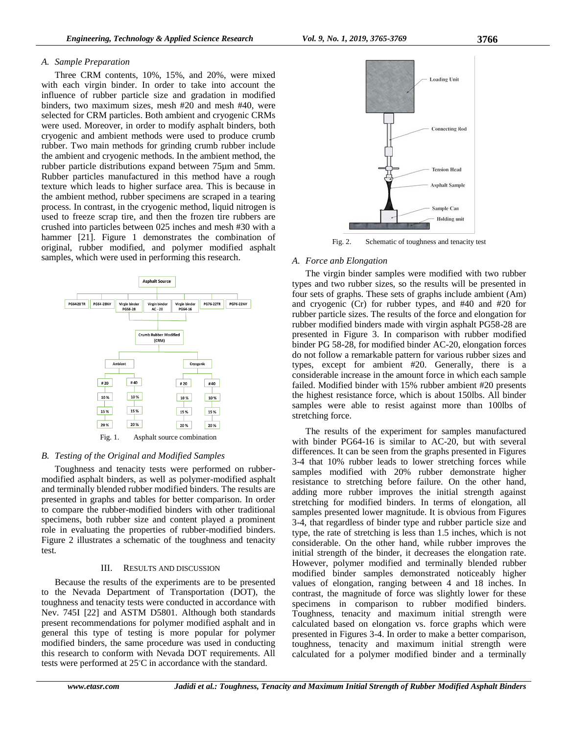### *A. Sample Preparation*

Three CRM contents, 10%, 15%, and 20%, were mixed with each virgin binder. In order to take into account the influence of rubber particle size and gradation in modified binders, two maximum sizes, mesh #20 and mesh #40, were selected for CRM particles. Both ambient and cryogenic CRMs were used. Moreover, in order to modify asphalt binders, both cryogenic and ambient methods were used to produce crumb rubber. Two main methods for grinding crumb rubber include the ambient and cryogenic methods. In the ambient method, the rubber particle distributions expand between 75µm and 5mm. Rubber particles manufactured in this method have a rough texture which leads to higher surface area. This is because in the ambient method, rubber specimens are scraped in a tearing process. In contrast, in the cryogenic method, liquid nitrogen is used to freeze scrap tire, and then the frozen tire rubbers are crushed into particles between 025 inches and mesh #30 with a hammer [21]. Figure 1 demonstrates the combination of original, rubber modified, and polymer modified asphalt samples, which were used in performing this research.



#### *B. Testing of the Original and Modified Samples*

Toughness and tenacity tests were performed on rubbermodified asphalt binders, as well as polymer-modified asphalt and terminally blended rubber modified binders. The results are presented in graphs and tables for better comparison. In order to compare the rubber-modified binders with other traditional specimens, both rubber size and content played a prominent role in evaluating the properties of rubber-modified binders. Figure 2 illustrates a schematic of the toughness and tenacity test.

#### III. RESULTS AND DISCUSSION

Because the results of the experiments are to be presented to the Nevada Department of Transportation (DOT), the toughness and tenacity tests were conducted in accordance with Nev. 745I [22] and ASTM D5801. Although both standards present recommendations for polymer modified asphalt and in general this type of testing is more popular for polymer modified binders, the same procedure was used in conducting this research to conform with Nevada DOT requirements. All tests were performed at 25℃ in accordance with the standard.



Fig. 2. Schematic of toughness and tenacity test

## *A. Force anb Elongation*

The virgin binder samples were modified with two rubber types and two rubber sizes, so the results will be presented in four sets of graphs. These sets of graphs include ambient (Am) and cryogenic (Cr) for rubber types, and #40 and #20 for rubber particle sizes. The results of the force and elongation for rubber modified binders made with virgin asphalt PG58-28 are presented in Figure 3. In comparison with rubber modified binder PG 58-28, for modified binder AC-20, elongation forces do not follow a remarkable pattern for various rubber sizes and types, except for ambient #20. Generally, there is a considerable increase in the amount force in which each sample failed. Modified binder with 15% rubber ambient #20 presents the highest resistance force, which is about 150lbs. All binder samples were able to resist against more than 100lbs of stretching force.

The results of the experiment for samples manufactured with binder PG64-16 is similar to AC-20, but with several differences. It can be seen from the graphs presented in Figures 3-4 that 10% rubber leads to lower stretching forces while samples modified with 20% rubber demonstrate higher resistance to stretching before failure. On the other hand, adding more rubber improves the initial strength against stretching for modified binders. In terms of elongation, all samples presented lower magnitude. It is obvious from Figures 3-4, that regardless of binder type and rubber particle size and type, the rate of stretching is less than 1.5 inches, which is not considerable. On the other hand, while rubber improves the initial strength of the binder, it decreases the elongation rate. However, polymer modified and terminally blended rubber modified binder samples demonstrated noticeably higher values of elongation, ranging between 4 and 18 inches. In contrast, the magnitude of force was slightly lower for these specimens in comparison to rubber modified binders. Toughness, tenacity and maximum initial strength were calculated based on elongation vs. force graphs which were presented in Figures 3-4. In order to make a better comparison, toughness, tenacity and maximum initial strength were calculated for a polymer modified binder and a terminally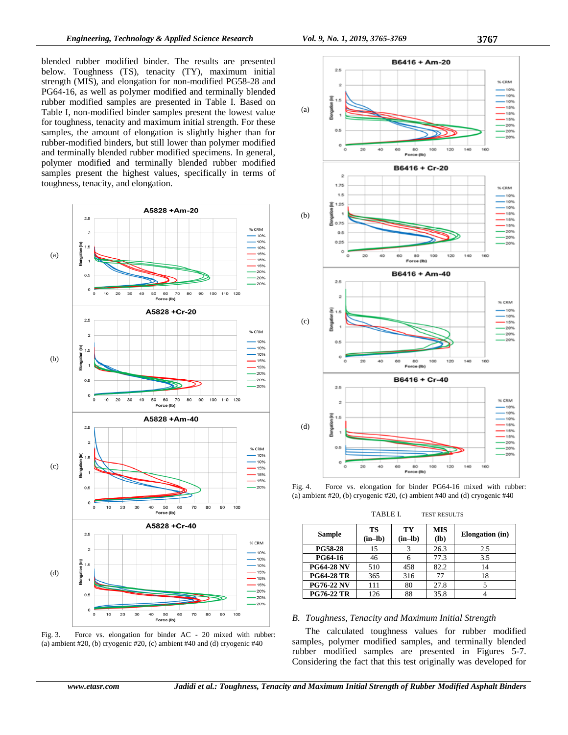blended rubber modified binder. The results are presented below. Toughness (TS), tenacity (TY), maximum initial strength (MIS), and elongation for non-modified PG58-28 and PG64-16, as well as polymer modified and terminally blended rubber modified samples are presented in Table I. Based on Table I, non-modified binder samples present the lowest value for toughness, tenacity and maximum initial strength. For these samples, the amount of elongation is slightly higher than for rubber-modified binders, but still lower than polymer modified and terminally blended rubber modified specimens. In general, polymer modified and terminally blended rubber modified samples present the highest values, specifically in terms of toughness, tenacity, and elongation.



Fig. 3. Force vs. elongation for binder AC - 20 mixed with rubber: (a) ambient #20, (b) cryogenic #20, (c) ambient #40 and (d) cryogenic #40



Fig. 4. Force vs. elongation for binder PG64-16 mixed with rubber: (a) ambient  $#20$ , (b) cryogenic  $#20$ , (c) ambient  $#40$  and (d) cryogenic  $#40$ 

TABLE I. TEST RESULTS

| <b>Sample</b>     | TS<br>$(in-lb)$ | TY<br>$(in-lb)$ | <b>MIS</b><br>$(lb)$ | <b>Elongation</b> (in) |
|-------------------|-----------------|-----------------|----------------------|------------------------|
| <b>PG58-28</b>    | 15              |                 | 26.3                 | 2.5                    |
| <b>PG64-16</b>    | 46              |                 | 77.3                 | 3.5                    |
| <b>PG64-28 NV</b> | 510             | 458             | 82.2                 | 14                     |
| <b>PG64-28 TR</b> | 365             | 316             | 77                   | 18                     |
| <b>PG76-22 NV</b> | 111             | 80              | 27.8                 |                        |
| <b>PG76-22 TR</b> | 126             | 88              | 35.8                 |                        |

## *B. Toughness, Tenacity and Maximum Initial Strength*

The calculated toughness values for rubber modified samples, polymer modified samples, and terminally blended rubber modified samples are presented in Figures 5-7. Considering the fact that this test originally was developed for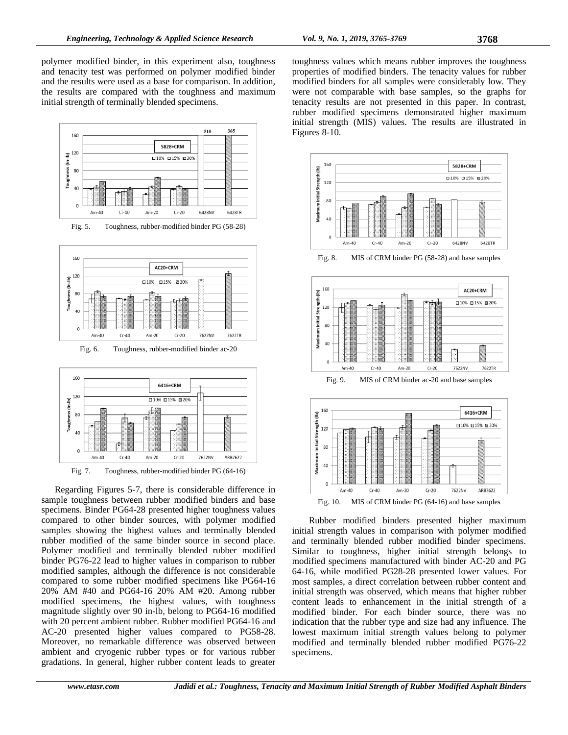polymer modified binder, in this experiment also, toughness and tenacity test was performed on polymer modified binder and the results were used as a base for comparison. In addition, the results are compared with the toughness and maximum initial strength of terminally blended specimens.



Regarding Figures 5-7, there is considerable difference in sample toughness between rubber modified binders and base specimens. Binder PG64-28 presented higher toughness values compared to other binder sources, with polymer modified samples showing the highest values and terminally blended rubber modified of the same binder source in second place. Polymer modified and terminally blended rubber modified binder PG76-22 lead to higher values in comparison to rubber modified samples, although the difference is not considerable compared to some rubber modified specimens like PG64-16 20% AM #40 and PG64-16 20% AM #20. Among rubber modified specimens, the highest values, with toughness magnitude slightly over 90 in-lb, belong to PG64-16 modified with 20 percent ambient rubber. Rubber modified PG64-16 and AC-20 presented higher values compared to PG58-28. Moreover, no remarkable difference was observed between ambient and cryogenic rubber types or for various rubber gradations. In general, higher rubber content leads to greater

toughness values which means rubber improves the toughness properties of modified binders. The tenacity values for rubber modified binders for all samples were considerably low. They were not comparable with base samples, so the graphs for tenacity results are not presented in this paper. In contrast, rubber modified specimens demonstrated higher maximum initial strength (MIS) values. The results are illustrated in Figures 8-10.



Rubber modified binders presented higher maximum initial strength values in comparison with polymer modified and terminally blended rubber modified binder specimens. Similar to toughness, higher initial strength belongs to modified specimens manufactured with binder AC-20 and PG 64-16, while modified PG28-28 presented lower values. For most samples, a direct correlation between rubber content and initial strength was observed, which means that higher rubber content leads to enhancement in the initial strength of a modified binder. For each binder source, there was no indication that the rubber type and size had any influence. The lowest maximum initial strength values belong to polymer modified and terminally blended rubber modified PG76-22 specimens.